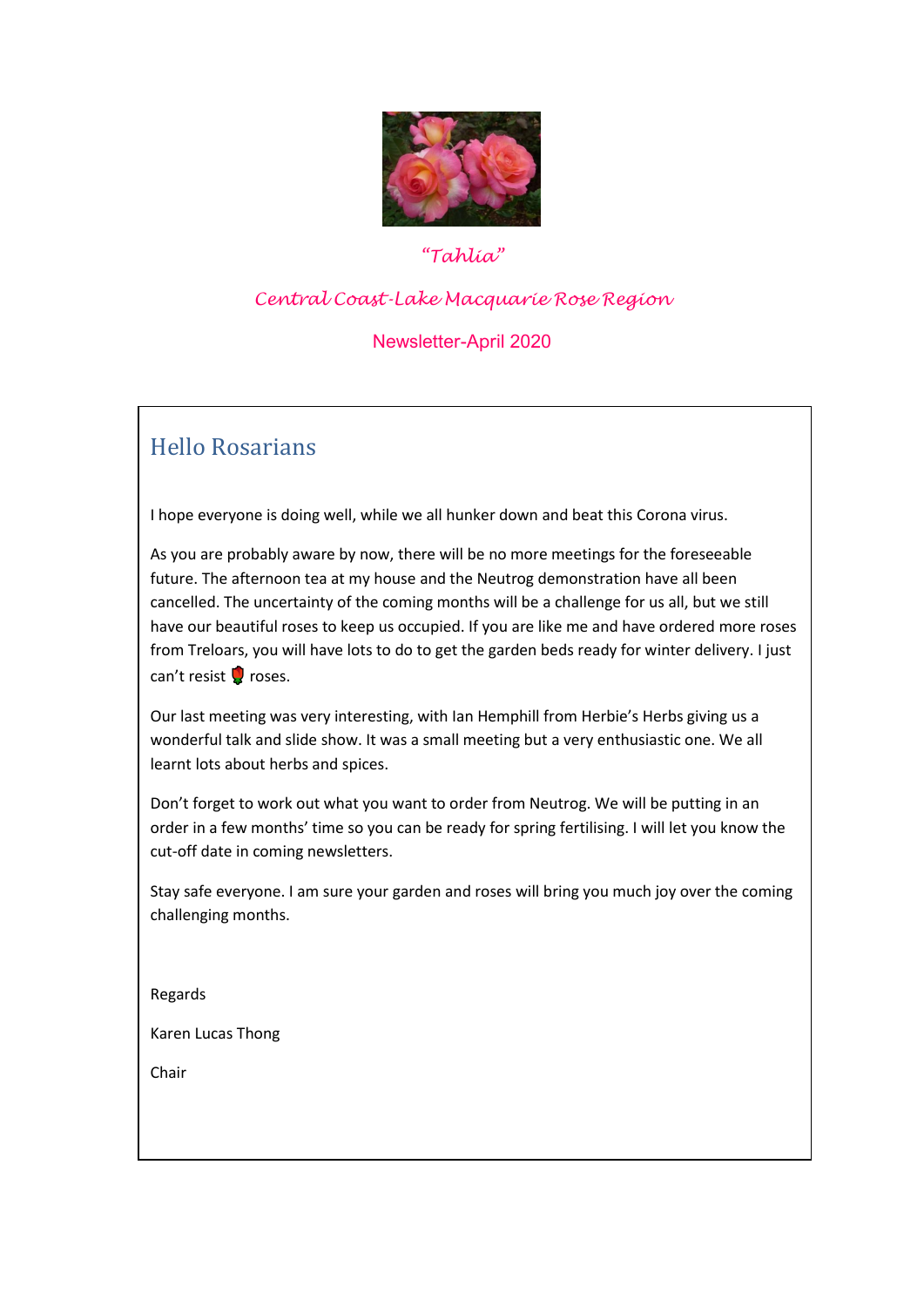

### *"Tahlia"*

#### *Central Coast-Lake Macquarie Rose Region*

### Newsletter-April 2020

## Hello Rosarians

I hope everyone is doing well, while we all hunker down and beat this Corona virus.

As you are probably aware by now, there will be no more meetings for the foreseeable future. The afternoon tea at my house and the Neutrog demonstration have all been cancelled. The uncertainty of the coming months will be a challenge for us all, but we still have our beautiful roses to keep us occupied. If you are like me and have ordered more roses from Treloars, you will have lots to do to get the garden beds ready for winter delivery. I just can't resist  $\Omega$  roses.

Our last meeting was very interesting, with Ian Hemphill from Herbie's Herbs giving us a wonderful talk and slide show. It was a small meeting but a very enthusiastic one. We all learnt lots about herbs and spices.

Don't forget to work out what you want to order from Neutrog. We will be putting in an order in a few months' time so you can be ready for spring fertilising. I will let you know the cut-off date in coming newsletters.

Stay safe everyone. I am sure your garden and roses will bring you much joy over the coming challenging months.

Regards

Karen Lucas Thong

Chair